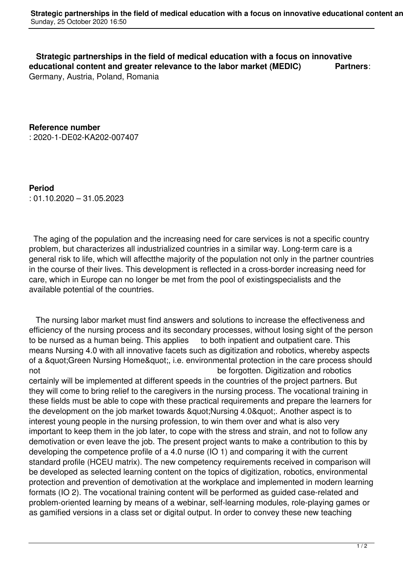**Strategic partnerships in the field of medical education with a focus on innovative educational content and greater relevance to the labor market (MEDIC) Partners**: Germany, Austria, Poland, Romania

**Reference number** : 2020-1-DE02-KA202-007407

**Period** : 01.10.2020 – 31.05.2023

 The aging of the population and the increasing need for care services is not a specific country problem, but characterizes all industrialized countries in a similar way. Long-term care is a general risk to life, which will affectthe majority of the population not only in the partner countries in the course of their lives. This development is reflected in a cross-border increasing need for care, which in Europe can no longer be met from the pool of existingspecialists and the available potential of the countries.

 The nursing labor market must find answers and solutions to increase the effectiveness and efficiency of the nursing process and its secondary processes, without losing sight of the person to be nursed as a human being. This applies to both inpatient and outpatient care. This means Nursing 4.0 with all innovative facets such as digitization and robotics, whereby aspects of a &quot: Green Nursing Home & quot:, i.e. environmental protection in the care process should not be forgotten. Digitization and robotics

certainly will be implemented at different speeds in the countries of the project partners. But they will come to bring relief to the caregivers in the nursing process. The vocational training in these fields must be able to cope with these practical requirements and prepare the learners for the development on the job market towards &quot:Nursing 4.0&quot:. Another aspect is to interest young people in the nursing profession, to win them over and what is also very important to keep them in the job later, to cope with the stress and strain, and not to follow any demotivation or even leave the job. The present project wants to make a contribution to this by developing the competence profile of a 4.0 nurse (IO 1) and comparing it with the current standard profile (HCEU matrix). The new competency requirements received in comparison will be developed as selected learning content on the topics of digitization, robotics, environmental protection and prevention of demotivation at the workplace and implemented in modern learning formats (IO 2). The vocational training content will be performed as guided case-related and problem-oriented learning by means of a webinar, self-learning modules, role-playing games or as gamified versions in a class set or digital output. In order to convey these new teaching